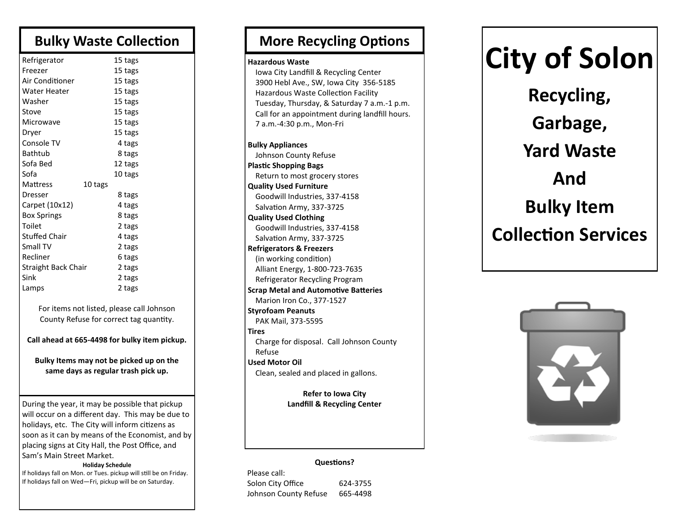### **Bulky Waste Collection**

| Refrigerator         |         | 15 tags |  |
|----------------------|---------|---------|--|
| Freezer              |         | 15 tags |  |
| Air Conditioner      |         | 15 tags |  |
| Water Heater         |         | 15 tags |  |
| Washer               |         | 15 tags |  |
| Stove                |         | 15 tags |  |
| Microwave            |         | 15 tags |  |
| Dryer                |         | 15 tags |  |
| Console TV           |         | 4 tags  |  |
| Bathtub              |         | 8 tags  |  |
| Sofa Bed             |         | 12 tags |  |
| Sofa                 |         | 10 tags |  |
| Mattress             | 10 tags |         |  |
| <b>Dresser</b>       |         | 8 tags  |  |
| Carpet (10x12)       |         | 4 tags  |  |
| Box Springs          |         | 8 tags  |  |
| Toilet               |         | 2 tags  |  |
| <b>Stuffed Chair</b> |         | 4 tags  |  |
| Small TV             |         | 2 tags  |  |
| Recliner             |         | 6 tags  |  |
| Straight Back Chair  |         | 2 tags  |  |
| Sink                 |         | 2 tags  |  |
| Lamps                |         | 2 tags  |  |

For items not listed, please call Johnson County Refuse for correct tag quantity.

**Call ahead at 665-4498 for bulky item pickup.**

**Bulky Items may not be picked up on the same days as regular trash pick up.**

During the year, it may be possible that pickup will occur on a different day. This may be due to holidays, etc. The City will inform citizens as soon as it can by means of the Economist, and by placing signs at City Hall, the Post Office, and Sam's Main Street Market.

#### **Holiday Schedule**

If holidays fall on Mon. or Tues. pickup will still be on Friday. If holidays fall on Wed—Fri, pickup will be on Saturday.

### **More Recycling Options**

#### **Hazardous Waste**

Iowa City Landfill & Recycling Center 3900 Hebl Ave., SW, Iowa City 356-5185 Hazardous Waste Collection Facility Tuesday, Thursday, & Saturday 7 a.m.-1 p.m. Call for an appointment during landfill hours. 7 a.m.-4:30 p.m., Mon-Fri

**Bulky Appliances** Johnson County Refuse **Plastic Shopping Bags** Return to most grocery stores **Quality Used Furniture** Goodwill Industries, 337-4158 Salvation Army, 337-3725 **Quality Used Clothing** Goodwill Industries, 337-4158 Salvation Army, 337-3725 **Refrigerators & Freezers** (in working condition) Alliant Energy, 1-800-723-7635 Refrigerator Recycling Program **Scrap Metal and Automotive Batteries** Marion Iron Co., 377-1527 **Styrofoam Peanuts** PAK Mail, 373-5595 **Tires** Charge for disposal. Call Johnson County Refuse **Used Motor Oil** Clean, sealed and placed in gallons.

**Refer to Iowa City Landfill & Recycling Center**

#### **Questions?**

Please call: Solon City Office 624-3755 Johnson County Refuse 665-4498

# **City of Solon**

**Recycling, Garbage, Yard Waste And Bulky Item Collection Services**